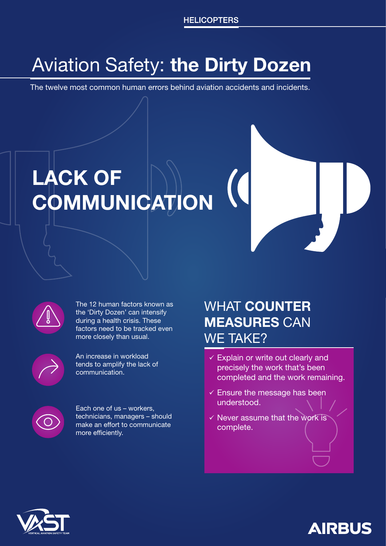### WHAT COUNTER MEASURES CAN WE TAKE?

#### **HELICOPTERS**

# Aviation Safety: the Dirty Dozen

The 12 human factors known as the 'Dirty Dozen' can intensify during a health crisis. These factors need to be tracked even more closely than usual.



- $\checkmark$  Explain or write out clearly and precisely the work that's been completed and the work remaining.
- $\checkmark$  Ensure the message has been understood.
- $\checkmark$  Never assume that the work is complete.





# LACK OF COMMUNICATION



An increase in workload tends to amplify the lack of communication.



Each one of us – workers, technicians, managers – should make an effort to communicate more efficiently.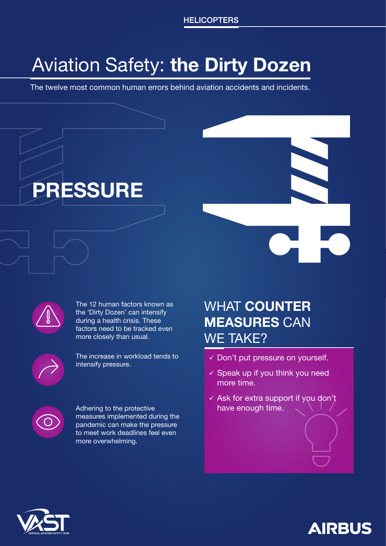## WHAT COUNTER MEASURES CAN WE TAKE?

**HELICOPTERS** 

# Aviation Safety: the Dirty Dozen

- $\checkmark$  Don't put pressure on yourself.
- $\checkmark$  Speak up if you think you need more time.
- $\checkmark$  Ask for extra support if you don't have enough time.





The 12 human factors known as the 'Dirty Dozen' can intensify during a health crisis. These factors need to be tracked even more closely than usual.



The increase in workload tends to intensify pressure.



Adhering to the protective measures implemented during the pandemic can make the pressure to meet work deadlines feel even more overwhelming.



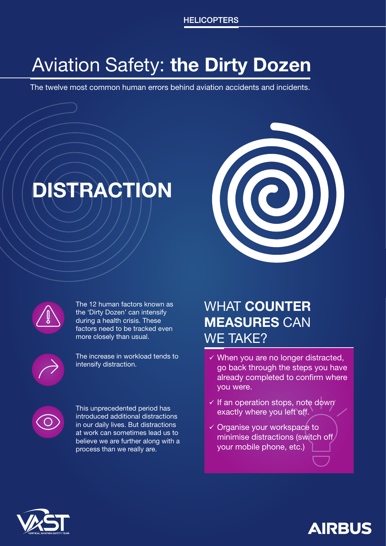## WHAT COUNTER MEASURES CAN WE TAKE?

#### **HELICOPTERS**

# Aviation Safety: the Dirty Dozen

The 12 human factors known as the 'Dirty Dozen' can intensify during a health crisis. These factors need to be tracked even more closely than usual.



- $\checkmark$  When you are no longer distracted, go back through the steps you have already completed to confirm where you were.
- $\checkmark$  If an operation stops, note down exactly where you left off.
- v Organise your workspace to minimise distractions (switch off your mobile phone, etc.)





The increase in workload tends to intensify distraction.



This unprecedented period has introduced additional distractions in our daily lives. But distractions at work can sometimes lead us to believe we are further along with a process than we really are.

# DISTRACTION



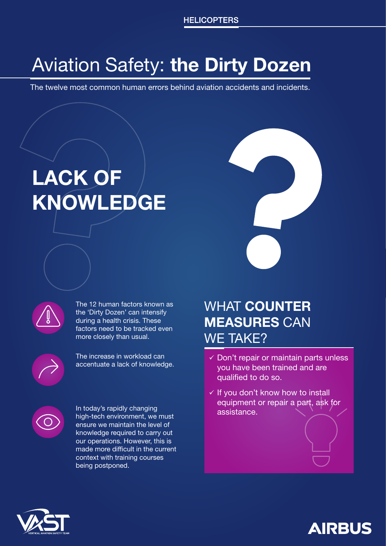## WHAT COUNTER MEASURES CAN WE TAKE?

#### **HELICOPTERS**

# Aviation Safety: the Dirty Dozen

The 12 human factors known as the 'Dirty Dozen' can intensify during a health crisis. These factors need to be tracked even more closely than usual.



- $\checkmark$  Don't repair or maintain parts unless you have been trained and are qualified to do so.
- $\checkmark$  If you don't know how to install equipment or repair a part, ask for assistance.





The increase in workload can accentuate a lack of knowledge.



In today's rapidly changing high-tech environment, we must ensure we maintain the level of knowledge required to carry out our operations. However, this is made more difficult in the current context with training courses being postponed.

# LACK OF KNOWLEDGE



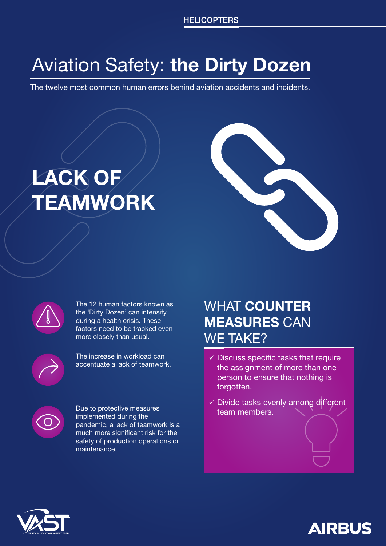## WHAT COUNTER MEASURES CAN WE TAKE?

#### **HELICOPTERS**

# Aviation Safety: the Dirty Dozen

The 12 human factors known as the 'Dirty Dozen' can intensify during a health crisis. These factors need to be tracked even more closely than usual.



- $\checkmark$  Discuss specific tasks that require the assignment of more than one person to ensure that nothing is forgotten.
- $\checkmark$  Divide tasks evenly among different team members.





The increase in workload can accentuate a lack of teamwork.



Due to protective measures implemented during the pandemic, a lack of teamwork is a much more significant risk for the safety of production operations or maintenance.

# LACK OF TEAMWORK



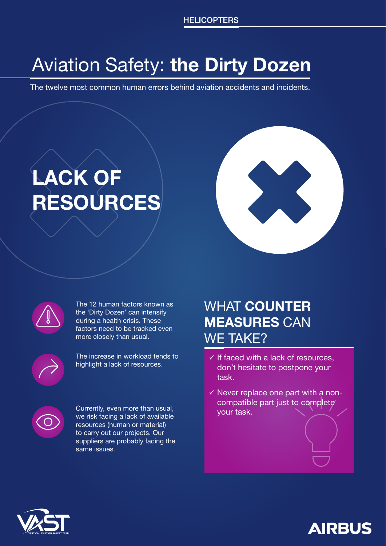## WHAT COUNTER MEASURES CAN WE TAKE?

#### **HELICOPTERS**

# Aviation Safety: the Dirty Dozen

The 12 human factors known as the 'Dirty Dozen' can intensify during a health crisis. These factors need to be tracked even more closely than usual.



- $\checkmark$  If faced with a lack of resources, don't hesitate to postpone your task.
- $\overline{\mathsf{y}}$  Never replace one part with a noncompatible part just to complete your task.





The increase in workload tends to highlight a lack of resources.



Currently, even more than usual, we risk facing a lack of available resources (human or material) to carry out our projects. Our suppliers are probably facing the same issues.

# LACK OF RESOURCES



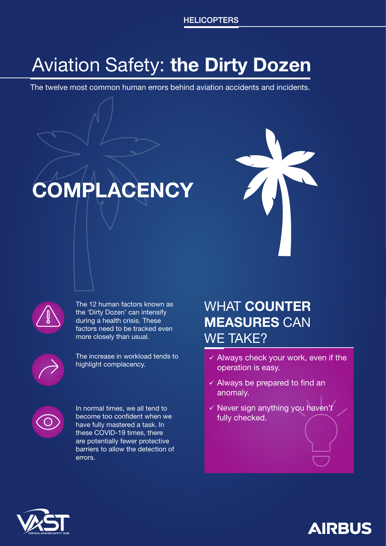## WHAT COUNTER MEASURES CAN WE TAKE?

#### **HELICOPTERS**

# Aviation Safety: the Dirty Dozen

The 12 human factors known as the 'Dirty Dozen' can intensify during a health crisis. These factors need to be tracked even more closely than usual.



- $\checkmark$  Always check your work, even if the operation is easy.
- $\checkmark$  Always be prepared to find an anomaly.
- $\checkmark$  Never sign anything you haven't fully checked.





The increase in workload tends to highlight complacency.



In normal times, we all tend to become too confident when we have fully mastered a task. In these COVID-19 times, there are potentially fewer protective barriers to allow the detection of errors.

# COMPLACENCY



![](_page_6_Picture_5.jpeg)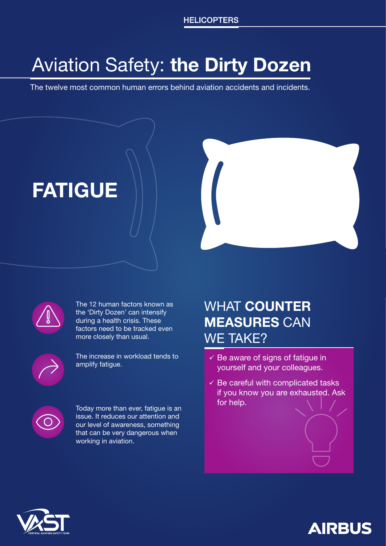## WHAT COUNTER MEASURES CAN WE TAKE?

#### **HELICOPTERS**

# Aviation Safety: the Dirty Dozen

The 12 human factors known as the 'Dirty Dozen' can intensify during a health crisis. These factors need to be tracked even more closely than usual.

- $\checkmark$  Be aware of signs of fatigue in yourself and your colleagues.
- $\checkmark$  Be careful with complicated tasks if you know you are exhausted. Ask for help.

![](_page_7_Picture_7.jpeg)

![](_page_7_Picture_14.jpeg)

![](_page_7_Picture_15.jpeg)

The increase in workload tends to amplify fatigue.

![](_page_7_Picture_9.jpeg)

Today more than ever, fatigue is an issue. It reduces our attention and our level of awareness, something that can be very dangerous when working in aviation.

## FATIGUE

![](_page_7_Picture_4.jpeg)

![](_page_7_Picture_5.jpeg)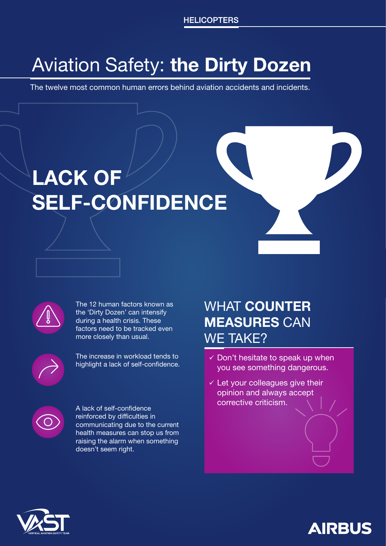## WHAT COUNTER MEASURES CAN WE TAKE?

#### **HELICOPTERS**

# Aviation Safety: the Dirty Dozen

The 12 human factors known as the 'Dirty Dozen' can intensify during a health crisis. These factors need to be tracked even more closely than usual.

- $\checkmark$  Don't hesitate to speak up when you see something dangerous.
- $\checkmark$  Let your colleagues give their opinion and always accept corrective criticism.

![](_page_8_Picture_6.jpeg)

![](_page_8_Picture_13.jpeg)

![](_page_8_Picture_14.jpeg)

# LACK OF SELF-CONFIDENCE

![](_page_8_Picture_4.jpeg)

The increase in workload tends to highlight a lack of self-confidence.

![](_page_8_Picture_8.jpeg)

A lack of self-confidence reinforced by difficulties in communicating due to the current health measures can stop us from raising the alarm when something doesn't seem right.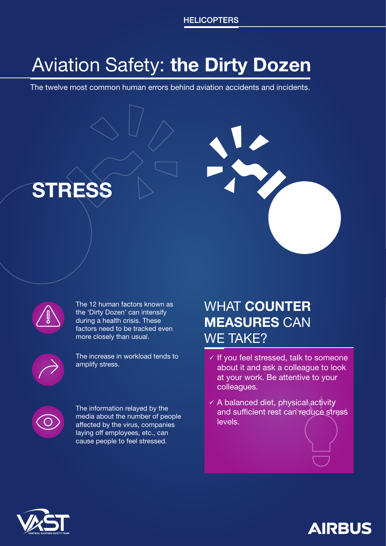# **STRESS**

![](_page_9_Picture_4.jpeg)

## WHAT COUNTER MEASURES CAN WE TAKE?

#### **HELICOPTERS**

# Aviation Safety: the Dirty Dozen

The 12 human factors known as the 'Dirty Dozen' can intensify during a health crisis. These factors need to be tracked even more closely than usual.

![](_page_9_Picture_6.jpeg)

- $\checkmark$  If you feel stressed, talk to someone about it and ask a colleague to look at your work. Be attentive to your colleagues.
- $\checkmark$  A balanced diet, physical activity and sufficient rest can reduce stress levels.

![](_page_9_Picture_13.jpeg)

![](_page_9_Picture_14.jpeg)

The increase in workload tends to amplify stress.

![](_page_9_Picture_8.jpeg)

The information relayed by the media about the number of people affected by the virus, companies laying off employees, etc., can cause people to feel stressed.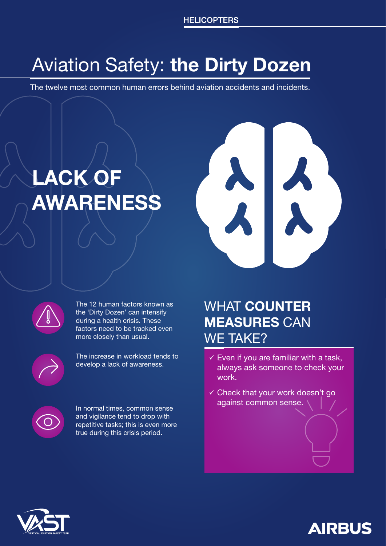## WHAT COUNTER MEASURES CAN WE TAKE?

#### **HELICOPTERS**

# Aviation Safety: the Dirty Dozen

- $\checkmark$  Even if you are familiar with a task, always ask someone to check your work.
- $\checkmark$  Check that your work doesn't go against common sense.

![](_page_10_Picture_14.jpeg)

![](_page_10_Picture_15.jpeg)

The 12 human factors known as the 'Dirty Dozen' can intensify during a health crisis. These factors need to be tracked even more closely than usual.

![](_page_10_Picture_7.jpeg)

The increase in workload tends to develop a lack of awareness.

![](_page_10_Picture_9.jpeg)

In normal times, common sense and vigilance tend to drop with repetitive tasks; this is even more true during this crisis period.

# LACK OF AWARENESS

![](_page_10_Picture_4.jpeg)

![](_page_10_Picture_5.jpeg)